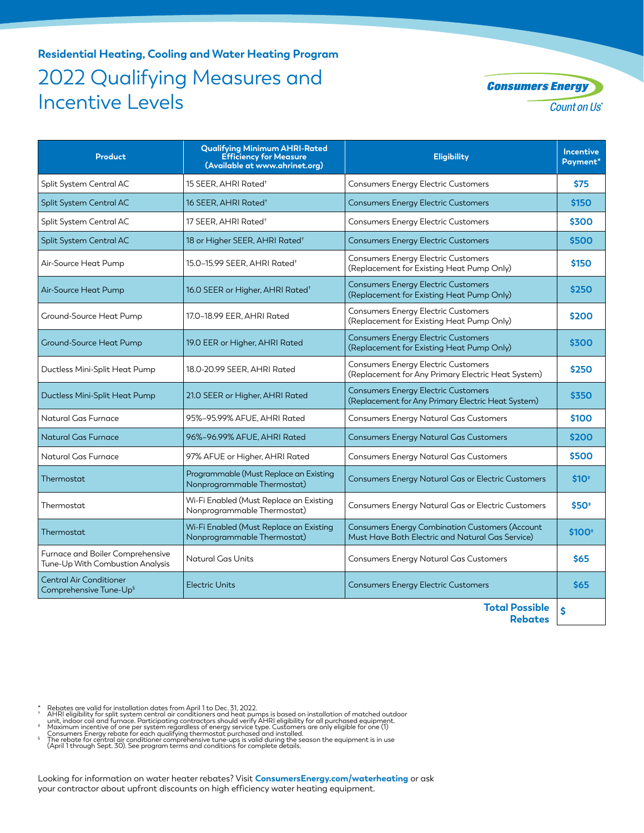## **Residential Heating, Cooling and Water Heating Program** 2022 Qualifying Measures and Incentive Levels



| <b>Product</b>                                                       | <b>Qualifying Minimum AHRI-Rated</b><br><b>Efficiency for Measure</b><br>(Available at www.ahrinet.org) | <b>Eligibility</b>                                                                                  | <b>Incentive</b><br>Payment* |
|----------------------------------------------------------------------|---------------------------------------------------------------------------------------------------------|-----------------------------------------------------------------------------------------------------|------------------------------|
| Split System Central AC                                              | 15 SEER, AHRI Rated <sup>+</sup>                                                                        | <b>Consumers Energy Electric Customers</b>                                                          | <b>\$75</b>                  |
| <b>Split System Central AC</b>                                       | 16 SEER, AHRI Rated <sup>+</sup>                                                                        | <b>Consumers Energy Electric Customers</b>                                                          | \$150                        |
| Split System Central AC                                              | 17 SEER, AHRI Rated <sup>+</sup>                                                                        | <b>Consumers Energy Electric Customers</b>                                                          | \$300                        |
| Split System Central AC                                              | 18 or Higher SEER, AHRI Rated <sup>+</sup>                                                              | <b>Consumers Energy Electric Customers</b>                                                          | \$500                        |
| Air-Source Heat Pump                                                 | 15.0-15.99 SEER, AHRI Rated <sup>+</sup>                                                                | <b>Consumers Energy Electric Customers</b><br>(Replacement for Existing Heat Pump Only)             | \$150                        |
| Air-Source Heat Pump                                                 | 16.0 SEER or Higher, AHRI Rated <sup>+</sup>                                                            | Consumers Energy Electric Customers<br>(Replacement for Existing Heat Pump Only)                    | \$250                        |
| Ground-Source Heat Pump                                              | 17.0-18.99 EER, AHRI Rated                                                                              | <b>Consumers Energy Electric Customers</b><br>(Replacement for Existing Heat Pump Only)             | \$200                        |
| <b>Ground-Source Heat Pump</b>                                       | 19.0 EER or Higher, AHRI Rated                                                                          | <b>Consumers Energy Electric Customers</b><br>(Replacement for Existing Heat Pump Only)             | \$300                        |
| Ductless Mini-Split Heat Pump                                        | 18.0-20.99 SEER, AHRI Rated                                                                             | <b>Consumers Energy Electric Customers</b><br>(Replacement for Any Primary Electric Heat System)    | \$250                        |
| Ductless Mini-Split Heat Pump                                        | 21.0 SEER or Higher, AHRI Rated                                                                         | <b>Consumers Energy Electric Customers</b><br>(Replacement for Any Primary Electric Heat System)    | \$350                        |
| Natural Gas Furnace                                                  | 95%-95.99% AFUE. AHRI Rated                                                                             | <b>Consumers Energy Natural Gas Customers</b>                                                       | \$100                        |
| Natural Gas Furnace                                                  | 96%-96.99% AFUE, AHRI Rated                                                                             | Consumers Energy Natural Gas Customers                                                              | \$200                        |
| Natural Gas Furnace                                                  | 97% AFUE or Higher, AHRI Rated                                                                          | <b>Consumers Energy Natural Gas Customers</b>                                                       | \$500                        |
| Thermostat                                                           | Programmable (Must Replace an Existing<br>Nonprogrammable Thermostat)                                   | Consumers Energy Natural Gas or Electric Customers                                                  | $$10+$                       |
| Thermostat                                                           | Wi-Fi Enabled (Must Replace an Existing<br>Nonprogrammable Thermostat)                                  | Consumers Energy Natural Gas or Electric Customers                                                  | \$50                         |
| Thermostat                                                           | Wi-Fi Enabled (Must Replace an Existing<br>Nonprogrammable Thermostat)                                  | Consumers Energy Combination Customers (Account<br>Must Have Both Electric and Natural Gas Service) | \$100                        |
| Furnace and Boiler Comprehensive<br>Tune-Up With Combustion Analysis | Natural Gas Units                                                                                       | Consumers Energy Natural Gas Customers                                                              | \$65                         |
| <b>Central Air Conditioner</b><br>Comprehensive Tune-Up <sup>§</sup> | <b>Electric Units</b>                                                                                   | <b>Consumers Energy Electric Customers</b>                                                          | \$65                         |
|                                                                      |                                                                                                         | <b>Total Describle</b>                                                                              |                              |

**Total Possible Rebates \$**

- \* Rebates are valid for installation dates from April 1 to Dec. 31, 2022.<br>† AHRI eligibility for split system central air conditioners and heat pumps is based on installation of matched outdoor
- unit, indoor coil and furnace. Participating contractors should verify AHRI eligibility for all purchased equipment.<br>Maximum incentive of one per system regardless of energy service type. Customers are only eligible for on
- 
- Consumers Energy rebate for each qualifying thermostat purchased and installed.<br>「The rebate for central air conditioner comprehensive tune-ups is valid during the season the equipment is in use<br>(April 1 through Sept. 30).

Looking for information on water heater rebates? Visit **ConsumersEnergy.com/waterheating** or ask your contractor about upfront discounts on high efficiency water heating equipment.